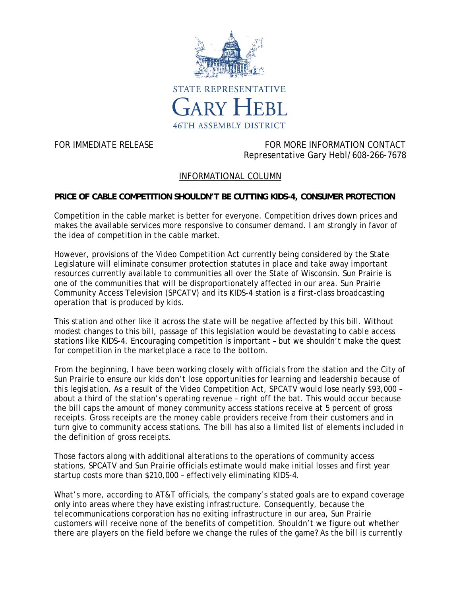

FOR IMMEDIATE RELEASE FOR MORE INFORMATION CONTACT Representative Gary Hebl/608-266-7678

## INFORMATIONAL COLUMN

## **PRICE OF CABLE COMPETITION SHOULDN'T BE CUTTING KIDS-4, CONSUMER PROTECTION**

Competition in the cable market is better for everyone. Competition drives down prices and makes the available services more responsive to consumer demand. I am strongly in favor of the idea of competition in the cable market.

However, provisions of the Video Competition Act currently being considered by the State Legislature will eliminate consumer protection statutes in place and take away important resources currently available to communities all over the State of Wisconsin. Sun Prairie is one of the communities that will be disproportionately affected in our area. Sun Prairie Community Access Television (SPCATV) and its KIDS-4 station is a first-class broadcasting operation that is produced by kids.

This station and other like it across the state will be negative affected by this bill. Without modest changes to this bill, passage of this legislation would be devastating to cable access stations like KIDS-4. Encouraging competition is important – but we shouldn't make the quest for competition in the marketplace a race to the bottom.

From the beginning, I have been working closely with officials from the station and the City of Sun Prairie to ensure our kids don't lose opportunities for learning and leadership because of this legislation. As a result of the Video Competition Act, SPCATV would lose nearly \$93,000 – about a third of the station's operating revenue – right off the bat. This would occur because the bill caps the amount of money community access stations receive at 5 percent of gross receipts. Gross receipts are the money cable providers receive from their customers and in turn give to community access stations. The bill has also a limited list of elements included in the definition of gross receipts.

Those factors along with additional alterations to the operations of community access stations, SPCATV and Sun Prairie officials estimate would make initial losses and first year startup costs more than \$210,000 – effectively eliminating KIDS-4.

What's more, according to AT&T officials, the company's stated goals are to expand coverage *only* into areas where they have existing infrastructure. Consequently, because the telecommunications corporation has no exiting infrastructure in our area, Sun Prairie customers will receive none of the benefits of competition. Shouldn't we figure out whether there are players on the field before we change the rules of the game? As the bill is currently